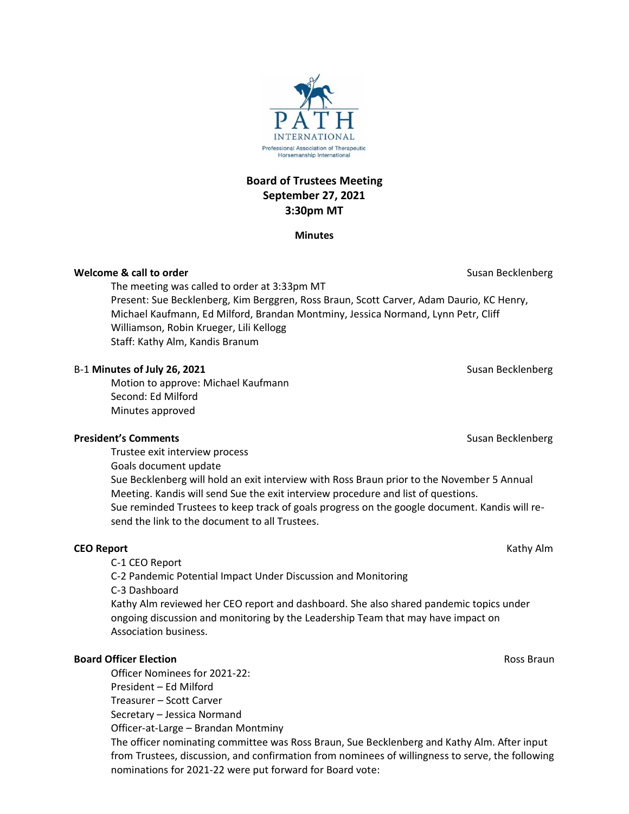**Board of Trustees Meeting September 27, 2021 3:30pm MT**

### **Minutes**

## **Welcome & call to order** Susan Becklenberg Susan Becklenberg Susan Becklenberg Susan Becklenberg

The meeting was called to order at 3:33pm MT Present: Sue Becklenberg, Kim Berggren, Ross Braun, Scott Carver, Adam Daurio, KC Henry, Michael Kaufmann, Ed Milford, Brandan Montminy, Jessica Normand, Lynn Petr, Cliff Williamson, Robin Krueger, Lili Kellogg Staff: Kathy Alm, Kandis Branum

## B-1 **Minutes of July 26, 2021** Susan Becklenberg

Motion to approve: Michael Kaufmann Second: Ed Milford Minutes approved

### **President's Comments Comments Susan Becklenberg** Susan Becklenberg **Susan Becklenberg**

Trustee exit interview process Goals document update Sue Becklenberg will hold an exit interview with Ross Braun prior to the November 5 Annual Meeting. Kandis will send Sue the exit interview procedure and list of questions. Sue reminded Trustees to keep track of goals progress on the google document. Kandis will resend the link to the document to all Trustees.

# **CEO Report** Kathy Alm

C-1 CEO Report C-2 Pandemic Potential Impact Under Discussion and Monitoring C-3 Dashboard Kathy Alm reviewed her CEO report and dashboard. She also shared pandemic topics under ongoing discussion and monitoring by the Leadership Team that may have impact on Association business.

# **Board Officer Election Ross Braun**

Officer Nominees for 2021-22: President – Ed Milford Treasurer – Scott Carver Secretary – Jessica Normand Officer-at-Large – Brandan Montminy The officer nominating committee was Ross Braun, Sue Becklenberg and Kathy Alm. After input from Trustees, discussion, and confirmation from nominees of willingness to serve, the following nominations for 2021-22 were put forward for Board vote:

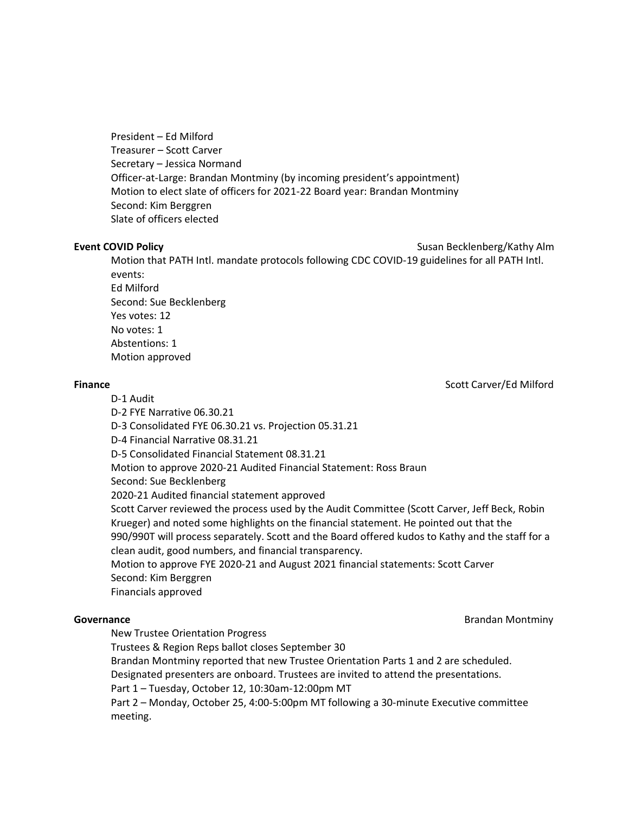President – Ed Milford Treasurer – Scott Carver Secretary – Jessica Normand Officer-at-Large: Brandan Montminy (by incoming president's appointment) Motion to elect slate of officers for 2021-22 Board year: Brandan Montminy Second: Kim Berggren Slate of officers elected

**Event COVID Policy Susan Becklenberg/Kathy Alm** 

Motion that PATH Intl. mandate protocols following CDC COVID-19 guidelines for all PATH Intl. events: Ed Milford Second: Sue Becklenberg

Yes votes: 12 No votes: 1 Abstentions: 1 Motion approved

**Finance** Scott Carver/Ed Milford

D-1 Audit

D-2 FYE Narrative 06.30.21

D-3 Consolidated FYE 06.30.21 vs. Projection 05.31.21

D-4 Financial Narrative 08.31.21

D-5 Consolidated Financial Statement 08.31.21

Motion to approve 2020-21 Audited Financial Statement: Ross Braun

Second: Sue Becklenberg

2020-21 Audited financial statement approved

Scott Carver reviewed the process used by the Audit Committee (Scott Carver, Jeff Beck, Robin Krueger) and noted some highlights on the financial statement. He pointed out that the 990/990T will process separately. Scott and the Board offered kudos to Kathy and the staff for a clean audit, good numbers, and financial transparency.

Motion to approve FYE 2020-21 and August 2021 financial statements: Scott Carver Second: Kim Berggren

Financials approved

**Governance** Brandan Montminy

New Trustee Orientation Progress

Trustees & Region Reps ballot closes September 30

Brandan Montminy reported that new Trustee Orientation Parts 1 and 2 are scheduled.

Designated presenters are onboard. Trustees are invited to attend the presentations.

Part 1 – Tuesday, October 12, 10:30am-12:00pm MT

Part 2 – Monday, October 25, 4:00-5:00pm MT following a 30-minute Executive committee meeting.